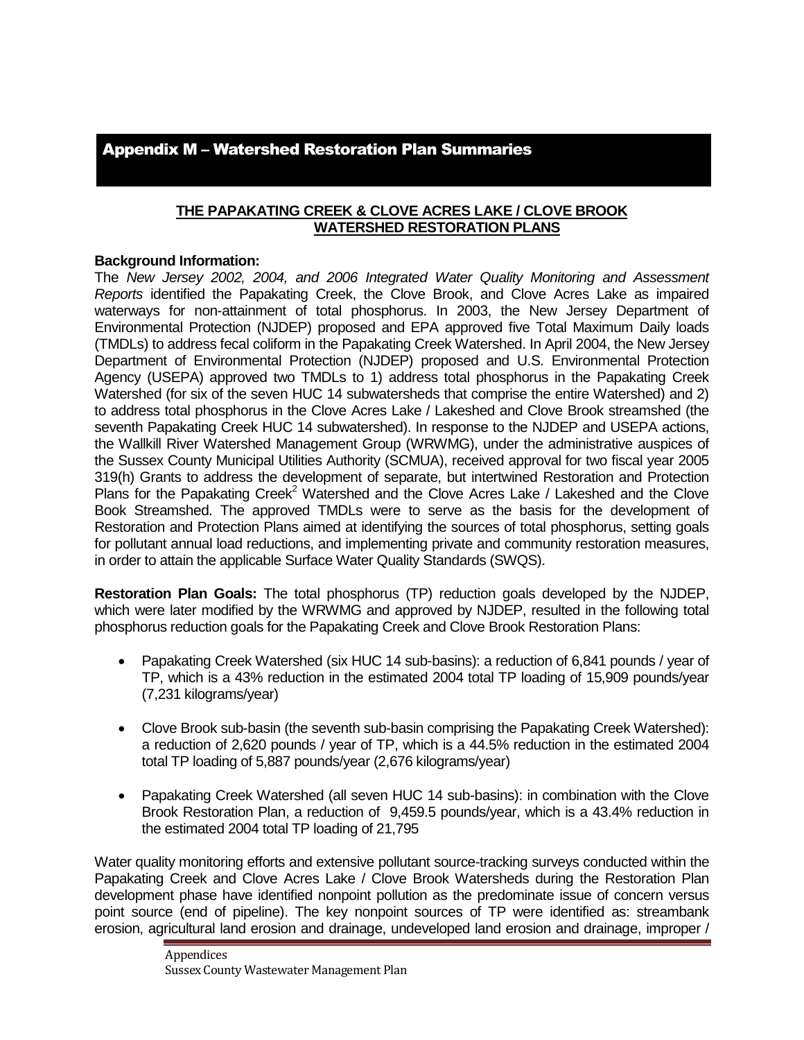# Appendix M – Watershed Restoration Plan Summaries

### **THE PAPAKATING CREEK & CLOVE ACRES LAKE / CLOVE BROOK WATERSHED RESTORATION PLANS**

### **Background Information:**

The *New Jersey 2002, 2004, and 2006 Integrated Water Quality Monitoring and Assessment Reports* identified the Papakating Creek, the Clove Brook, and Clove Acres Lake as impaired waterways for non-attainment of total phosphorus. In 2003, the New Jersey Department of Environmental Protection (NJDEP) proposed and EPA approved five Total Maximum Daily loads (TMDLs) to address fecal coliform in the Papakating Creek Watershed. In April 2004, the New Jersey Department of Environmental Protection (NJDEP) proposed and U.S. Environmental Protection Agency (USEPA) approved two TMDLs to 1) address total phosphorus in the Papakating Creek Watershed (for six of the seven HUC 14 subwatersheds that comprise the entire Watershed) and 2) to address total phosphorus in the Clove Acres Lake / Lakeshed and Clove Brook streamshed (the seventh Papakating Creek HUC 14 subwatershed). In response to the NJDEP and USEPA actions, the Wallkill River Watershed Management Group (WRWMG), under the administrative auspices of the Sussex County Municipal Utilities Authority (SCMUA), received approval for two fiscal year 2005 319(h) Grants to address the development of separate, but intertwined Restoration and Protection Plans for the Papakating Creek<sup>2</sup> Watershed and the Clove Acres Lake / Lakeshed and the Clove Book Streamshed. The approved TMDLs were to serve as the basis for the development of Restoration and Protection Plans aimed at identifying the sources of total phosphorus, setting goals for pollutant annual load reductions, and implementing private and community restoration measures, in order to attain the applicable Surface Water Quality Standards (SWQS).

**Restoration Plan Goals:** The total phosphorus (TP) reduction goals developed by the NJDEP, which were later modified by the WRWMG and approved by NJDEP, resulted in the following total phosphorus reduction goals for the Papakating Creek and Clove Brook Restoration Plans:

- Papakating Creek Watershed (six HUC 14 sub-basins): a reduction of 6,841 pounds / year of TP, which is a 43% reduction in the estimated 2004 total TP loading of 15,909 pounds/year (7,231 kilograms/year)
- Clove Brook sub-basin (the seventh sub-basin comprising the Papakating Creek Watershed): a reduction of 2,620 pounds / year of TP, which is a 44.5% reduction in the estimated 2004 total TP loading of 5,887 pounds/year (2,676 kilograms/year)
- Papakating Creek Watershed (all seven HUC 14 sub-basins): in combination with the Clove Brook Restoration Plan, a reduction of 9,459.5 pounds/year, which is a 43.4% reduction in the estimated 2004 total TP loading of 21,795

Water quality monitoring efforts and extensive pollutant source-tracking surveys conducted within the Papakating Creek and Clove Acres Lake / Clove Brook Watersheds during the Restoration Plan development phase have identified nonpoint pollution as the predominate issue of concern versus point source (end of pipeline). The key nonpoint sources of TP were identified as: streambank erosion, agricultural land erosion and drainage, undeveloped land erosion and drainage, improper /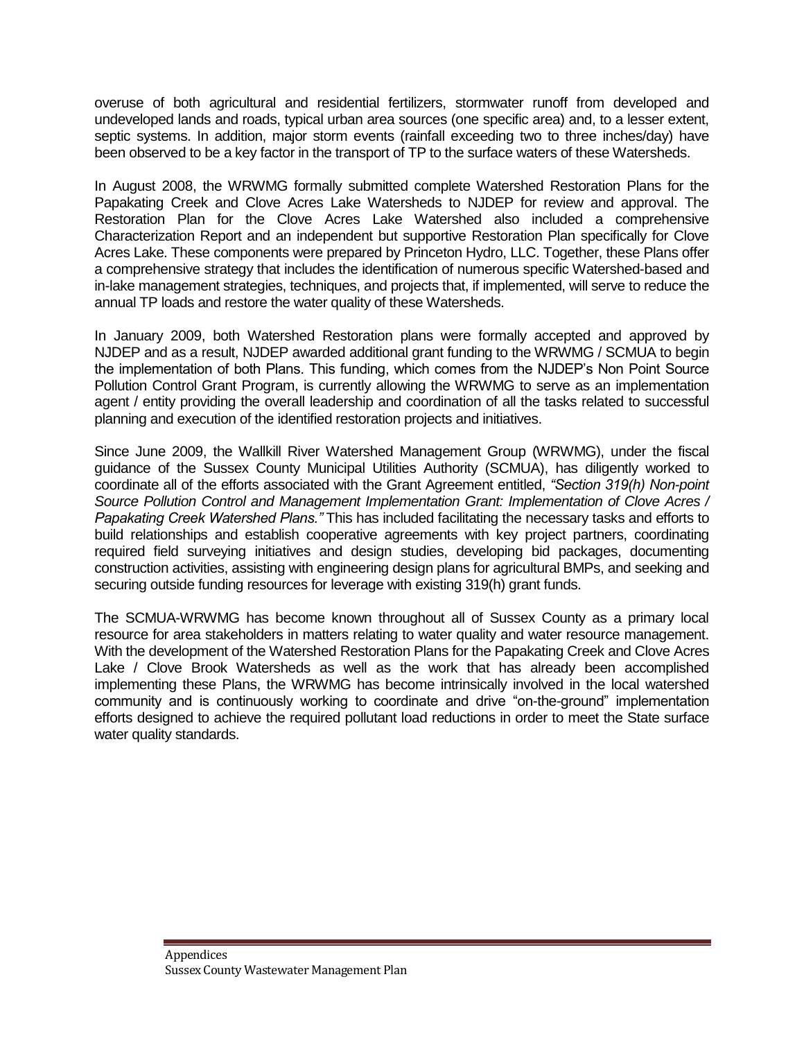overuse of both agricultural and residential fertilizers, stormwater runoff from developed and undeveloped lands and roads, typical urban area sources (one specific area) and, to a lesser extent, septic systems. In addition, major storm events (rainfall exceeding two to three inches/day) have been observed to be a key factor in the transport of TP to the surface waters of these Watersheds.

In August 2008, the WRWMG formally submitted complete Watershed Restoration Plans for the Papakating Creek and Clove Acres Lake Watersheds to NJDEP for review and approval. The Restoration Plan for the Clove Acres Lake Watershed also included a comprehensive Characterization Report and an independent but supportive Restoration Plan specifically for Clove Acres Lake. These components were prepared by Princeton Hydro, LLC. Together, these Plans offer a comprehensive strategy that includes the identification of numerous specific Watershed-based and in-lake management strategies, techniques, and projects that, if implemented, will serve to reduce the annual TP loads and restore the water quality of these Watersheds.

In January 2009, both Watershed Restoration plans were formally accepted and approved by NJDEP and as a result, NJDEP awarded additional grant funding to the WRWMG / SCMUA to begin the implementation of both Plans. This funding, which comes from the NJDEP's Non Point Source Pollution Control Grant Program, is currently allowing the WRWMG to serve as an implementation agent / entity providing the overall leadership and coordination of all the tasks related to successful planning and execution of the identified restoration projects and initiatives.

Since June 2009, the Wallkill River Watershed Management Group (WRWMG), under the fiscal guidance of the Sussex County Municipal Utilities Authority (SCMUA), has diligently worked to coordinate all of the efforts associated with the Grant Agreement entitled, *"Section 319(h) Non-point Source Pollution Control and Management Implementation Grant: Implementation of Clove Acres / Papakating Creek Watershed Plans."* This has included facilitating the necessary tasks and efforts to build relationships and establish cooperative agreements with key project partners, coordinating required field surveying initiatives and design studies, developing bid packages, documenting construction activities, assisting with engineering design plans for agricultural BMPs, and seeking and securing outside funding resources for leverage with existing 319(h) grant funds.

The SCMUA-WRWMG has become known throughout all of Sussex County as a primary local resource for area stakeholders in matters relating to water quality and water resource management. With the development of the Watershed Restoration Plans for the Papakating Creek and Clove Acres Lake / Clove Brook Watersheds as well as the work that has already been accomplished implementing these Plans, the WRWMG has become intrinsically involved in the local watershed community and is continuously working to coordinate and drive "on-the-ground" implementation efforts designed to achieve the required pollutant load reductions in order to meet the State surface water quality standards.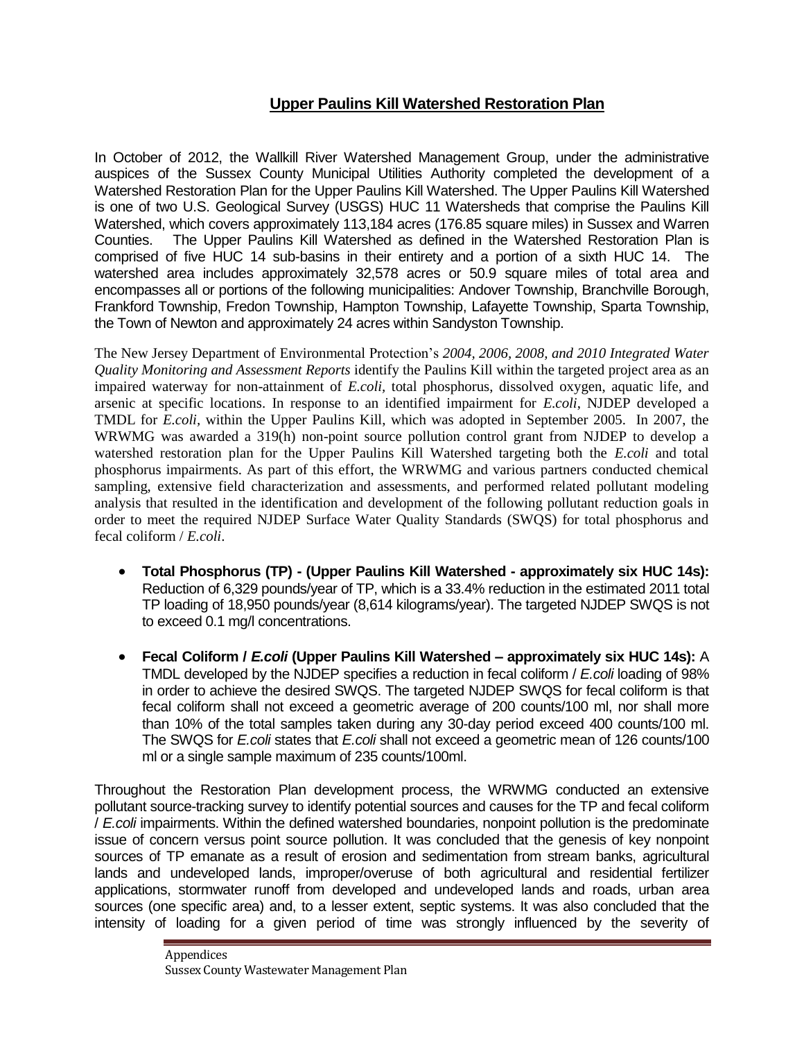# **Upper Paulins Kill Watershed Restoration Plan**

In October of 2012, the Wallkill River Watershed Management Group, under the administrative auspices of the Sussex County Municipal Utilities Authority completed the development of a Watershed Restoration Plan for the Upper Paulins Kill Watershed. The Upper Paulins Kill Watershed is one of two U.S. Geological Survey (USGS) HUC 11 Watersheds that comprise the Paulins Kill Watershed, which covers approximately 113,184 acres (176.85 square miles) in Sussex and Warren Counties. The Upper Paulins Kill Watershed as defined in the Watershed Restoration Plan is comprised of five HUC 14 sub-basins in their entirety and a portion of a sixth HUC 14. The watershed area includes approximately 32,578 acres or 50.9 square miles of total area and encompasses all or portions of the following municipalities: Andover Township, Branchville Borough, Frankford Township, Fredon Township, Hampton Township, Lafayette Township, Sparta Township, the Town of Newton and approximately 24 acres within Sandyston Township.

The New Jersey Department of Environmental Protection's *2004, 2006, 2008, and 2010 Integrated Water Quality Monitoring and Assessment Reports* identify the Paulins Kill within the targeted project area as an impaired waterway for non-attainment of *E.coli,* total phosphorus, dissolved oxygen, aquatic life, and arsenic at specific locations. In response to an identified impairment for *E.coli*, NJDEP developed a TMDL for *E.coli,* within the Upper Paulins Kill, which was adopted in September 2005. In 2007, the WRWMG was awarded a 319(h) non-point source pollution control grant from NJDEP to develop a watershed restoration plan for the Upper Paulins Kill Watershed targeting both the *E.coli* and total phosphorus impairments. As part of this effort, the WRWMG and various partners conducted chemical sampling, extensive field characterization and assessments, and performed related pollutant modeling analysis that resulted in the identification and development of the following pollutant reduction goals in order to meet the required NJDEP Surface Water Quality Standards (SWQS) for total phosphorus and fecal coliform / *E.coli*.

- **Total Phosphorus (TP) - (Upper Paulins Kill Watershed - approximately six HUC 14s):** Reduction of 6,329 pounds/year of TP, which is a 33.4% reduction in the estimated 2011 total TP loading of 18,950 pounds/year (8,614 kilograms/year). The targeted NJDEP SWQS is not to exceed 0.1 mg/l concentrations.
- **Fecal Coliform /** *E.coli* **(Upper Paulins Kill Watershed – approximately six HUC 14s):** A TMDL developed by the NJDEP specifies a reduction in fecal coliform / *E.coli* loading of 98% in order to achieve the desired SWQS. The targeted NJDEP SWQS for fecal coliform is that fecal coliform shall not exceed a geometric average of 200 counts/100 ml, nor shall more than 10% of the total samples taken during any 30-day period exceed 400 counts/100 ml. The SWQS for *E.coli* states that *E.coli* shall not exceed a geometric mean of 126 counts/100 ml or a single sample maximum of 235 counts/100ml.

Throughout the Restoration Plan development process, the WRWMG conducted an extensive pollutant source-tracking survey to identify potential sources and causes for the TP and fecal coliform / *E.coli* impairments. Within the defined watershed boundaries, nonpoint pollution is the predominate issue of concern versus point source pollution. It was concluded that the genesis of key nonpoint sources of TP emanate as a result of erosion and sedimentation from stream banks, agricultural lands and undeveloped lands, improper/overuse of both agricultural and residential fertilizer applications, stormwater runoff from developed and undeveloped lands and roads, urban area sources (one specific area) and, to a lesser extent, septic systems. It was also concluded that the intensity of loading for a given period of time was strongly influenced by the severity of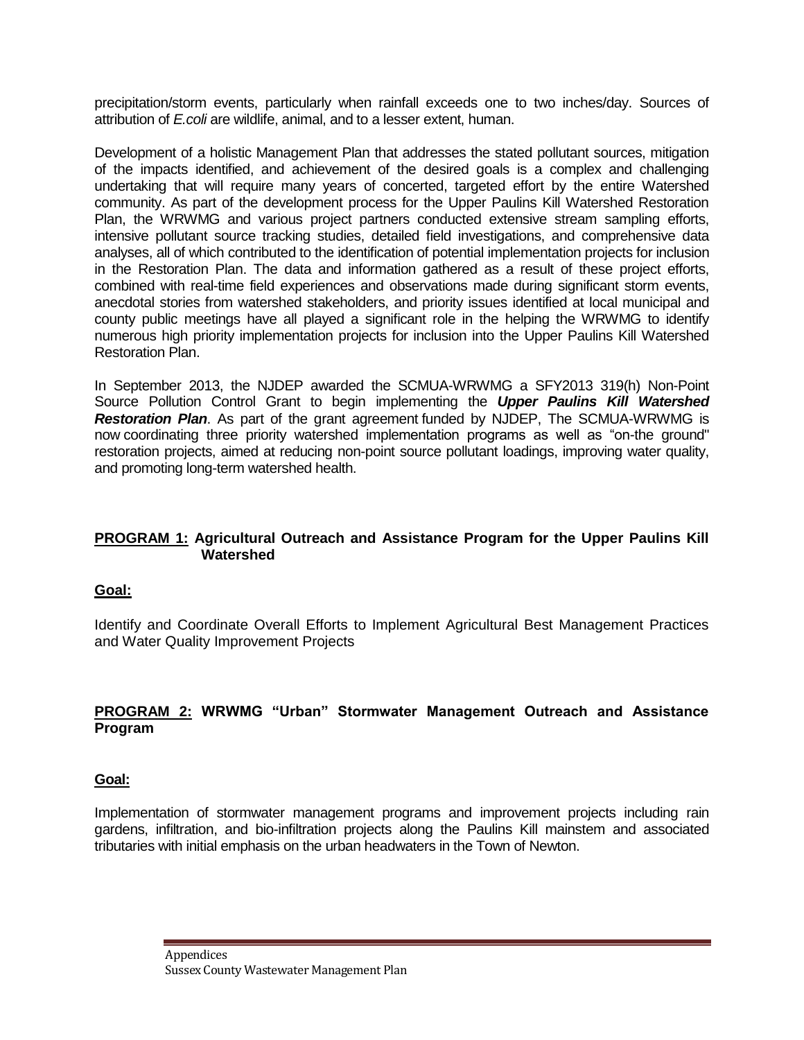precipitation/storm events, particularly when rainfall exceeds one to two inches/day. Sources of attribution of *E.coli* are wildlife, animal, and to a lesser extent, human.

Development of a holistic Management Plan that addresses the stated pollutant sources, mitigation of the impacts identified, and achievement of the desired goals is a complex and challenging undertaking that will require many years of concerted, targeted effort by the entire Watershed community. As part of the development process for the Upper Paulins Kill Watershed Restoration Plan, the WRWMG and various project partners conducted extensive stream sampling efforts, intensive pollutant source tracking studies, detailed field investigations, and comprehensive data analyses, all of which contributed to the identification of potential implementation projects for inclusion in the Restoration Plan. The data and information gathered as a result of these project efforts, combined with real-time field experiences and observations made during significant storm events, anecdotal stories from watershed stakeholders, and priority issues identified at local municipal and county public meetings have all played a significant role in the helping the WRWMG to identify numerous high priority implementation projects for inclusion into the Upper Paulins Kill Watershed Restoration Plan.

In September 2013, the NJDEP awarded the SCMUA-WRWMG a SFY2013 319(h) Non-Point Source Pollution Control Grant to begin implementing the *Upper Paulins Kill Watershed Restoration Plan*. As part of the grant agreement funded by NJDEP, The SCMUA-WRWMG is now coordinating three priority watershed implementation programs as well as "on-the ground" restoration projects, aimed at reducing non-point source pollutant loadings, improving water quality, and promoting long-term watershed health.

### **PROGRAM 1: Agricultural Outreach and Assistance Program for the Upper Paulins Kill Watershed**

#### **Goal:**

Identify and Coordinate Overall Efforts to Implement Agricultural Best Management Practices and Water Quality Improvement Projects

### **PROGRAM 2: WRWMG "Urban" Stormwater Management Outreach and Assistance Program**

### **Goal:**

Implementation of stormwater management programs and improvement projects including rain gardens, infiltration, and bio-infiltration projects along the Paulins Kill mainstem and associated tributaries with initial emphasis on the urban headwaters in the Town of Newton.